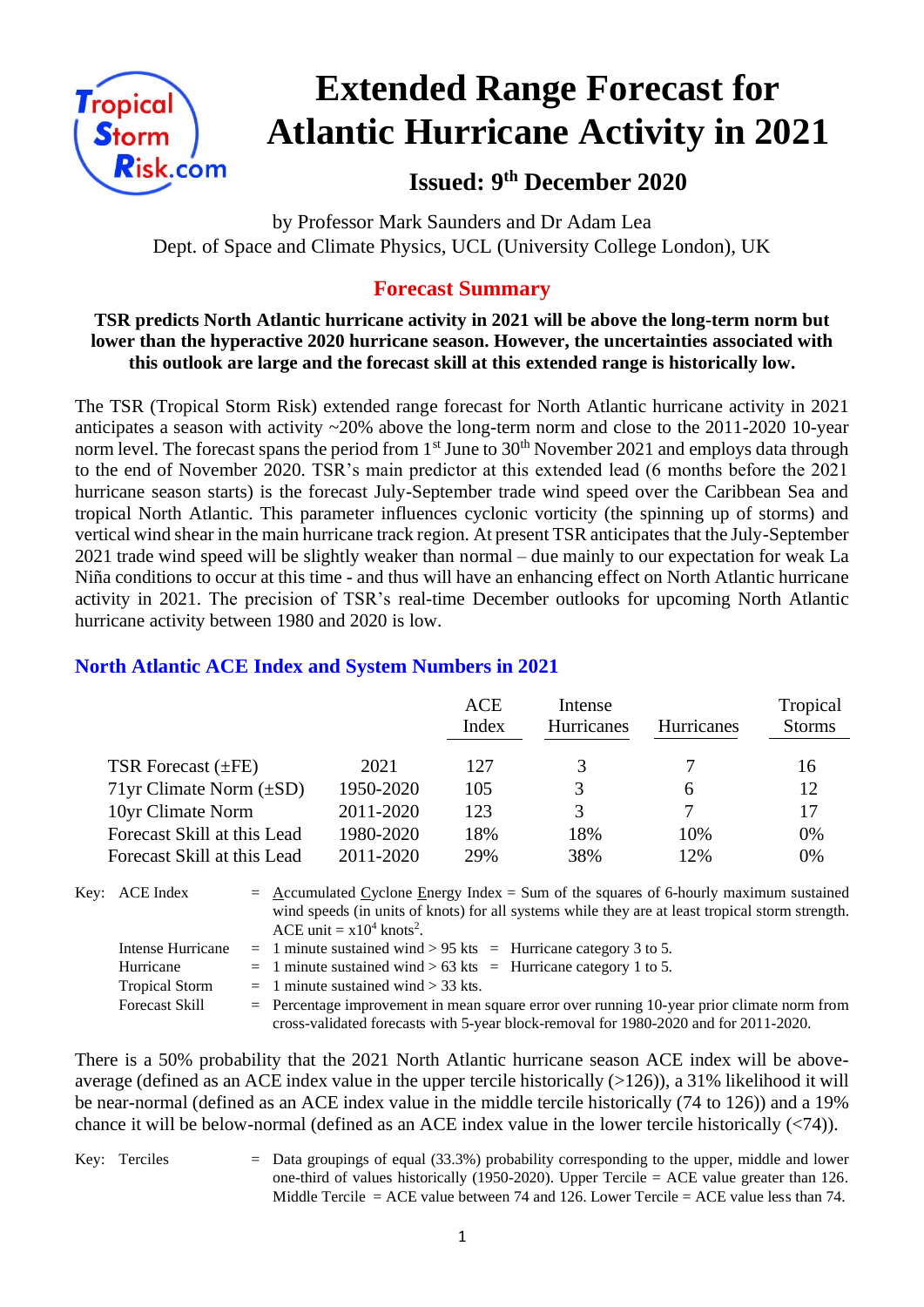

# **Extended Range Forecast for Atlantic Hurricane Activity in 2021**

**Issued: 9 th December 2020**

by Professor Mark Saunders and Dr Adam Lea Dept. of Space and Climate Physics, UCL (University College London), UK

# **Forecast Summary**

#### **TSR predicts North Atlantic hurricane activity in 2021 will be above the long-term norm but lower than the hyperactive 2020 hurricane season. However, the uncertainties associated with this outlook are large and the forecast skill at this extended range is historically low.**

The TSR (Tropical Storm Risk) extended range forecast for North Atlantic hurricane activity in 2021 anticipates a season with activity ~20% above the long-term norm and close to the 2011-2020 10-year norm level. The forecast spans the period from 1<sup>st</sup> June to 30<sup>th</sup> November 2021 and employs data through to the end of November 2020. TSR's main predictor at this extended lead (6 months before the 2021 hurricane season starts) is the forecast July-September trade wind speed over the Caribbean Sea and tropical North Atlantic. This parameter influences cyclonic vorticity (the spinning up of storms) and vertical wind shear in the main hurricane track region. At present TSR anticipates that the July-September 2021 trade wind speed will be slightly weaker than normal – due mainly to our expectation for weak La Niña conditions to occur at this time - and thus will have an enhancing effect on North Atlantic hurricane activity in 2021. The precision of TSR's real-time December outlooks for upcoming North Atlantic hurricane activity between 1980 and 2020 is low.

|                              |           | <b>ACE</b><br>Index | Intense<br>Hurricanes | <b>Hurricanes</b> | Tropical<br><b>Storms</b> |
|------------------------------|-----------|---------------------|-----------------------|-------------------|---------------------------|
| TSR Forecast $(\pm FE)$      | 2021      | 127                 |                       |                   | 16                        |
| 71yr Climate Norm $(\pm SD)$ | 1950-2020 | 105                 | 3                     | 6                 | 12                        |
| 10yr Climate Norm            | 2011-2020 | 123                 | 3                     |                   |                           |
| Forecast Skill at this Lead  | 1980-2020 | 18%                 | 18%                   | 10%               | 0%                        |
| Forecast Skill at this Lead  | 2011-2020 | 29%                 | 38%                   | 12%               | 0%                        |
|                              |           |                     |                       |                   |                           |

### **North Atlantic ACE Index and System Numbers in 2021**

| Key: ACE Index                 | $=$ Accumulated Cyclone Energy Index $=$ Sum of the squares of 6-hourly maximum sustained<br>wind speeds (in units of knots) for all systems while they are at least tropical storm strength.<br>ACE unit = $x10^4$ knots <sup>2</sup> . |                                                                                                                                                                                      |
|--------------------------------|------------------------------------------------------------------------------------------------------------------------------------------------------------------------------------------------------------------------------------------|--------------------------------------------------------------------------------------------------------------------------------------------------------------------------------------|
| Intense Hurricane<br>Hurricane |                                                                                                                                                                                                                                          | $=$ 1 minute sustained wind > 95 kts = Hurricane category 3 to 5.<br>$=$ 1 minute sustained wind > 63 kts = Hurricane category 1 to 5.                                               |
| <b>Tropical Storm</b>          |                                                                                                                                                                                                                                          | $=$ 1 minute sustained wind $>$ 33 kts.                                                                                                                                              |
| <b>Forecast Skill</b>          |                                                                                                                                                                                                                                          | $=$ Percentage improvement in mean square error over running 10-year prior climate norm from<br>cross-validated forecasts with 5-year block-removal for 1980-2020 and for 2011-2020. |

There is a 50% probability that the 2021 North Atlantic hurricane season ACE index will be aboveaverage (defined as an ACE index value in the upper tercile historically (>126)), a 31% likelihood it will be near-normal (defined as an ACE index value in the middle tercile historically (74 to 126)) and a 19% chance it will be below-normal (defined as an ACE index value in the lower tercile historically (<74)).

Key: Terciles = Data groupings of equal (33.3%) probability corresponding to the upper, middle and lower one-third of values historically (1950-2020). Upper Tercile = ACE value greater than 126. Middle Tercile  $=$  ACE value between 74 and 126. Lower Tercile  $=$  ACE value less than 74.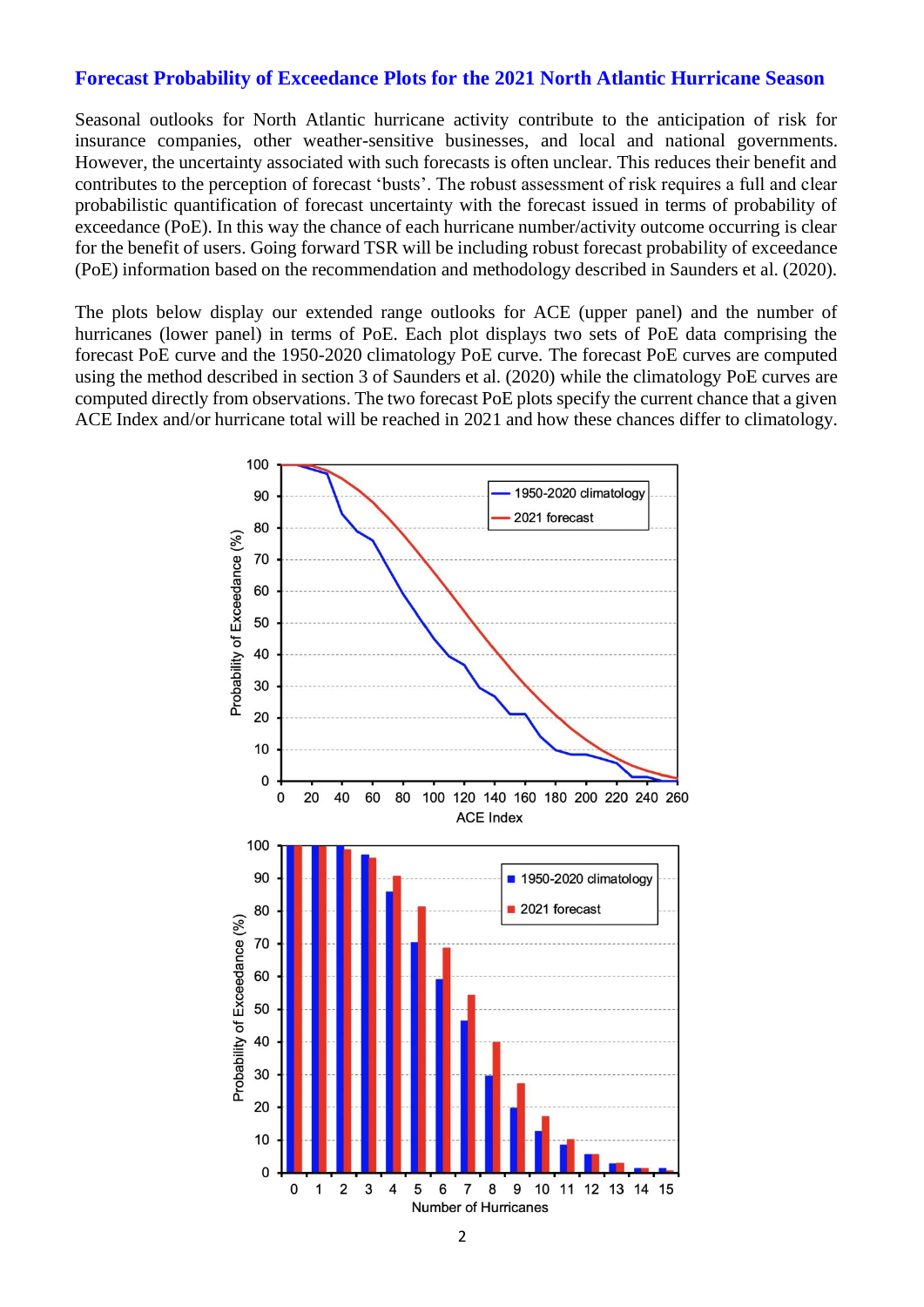#### **Forecast Probability of Exceedance Plots for the 2021 North Atlantic Hurricane Season**

Seasonal outlooks for North Atlantic hurricane activity contribute to the anticipation of risk for insurance companies, other weather-sensitive businesses, and local and national governments. However, the uncertainty associated with such forecasts is often unclear. This reduces their benefit and contributes to the perception of forecast 'busts'. The robust assessment of risk requires a full and clear probabilistic quantification of forecast uncertainty with the forecast issued in terms of probability of exceedance (PoE). In this way the chance of each hurricane number/activity outcome occurring is clear for the benefit of users. Going forward TSR will be including robust forecast probability of exceedance (PoE) information based on the recommendation and methodology described in Saunders et al. (2020).

The plots below display our extended range outlooks for ACE (upper panel) and the number of hurricanes (lower panel) in terms of PoE. Each plot displays two sets of PoE data comprising the forecast PoE curve and the 1950-2020 climatology PoE curve. The forecast PoE curves are computed using the method described in section 3 of Saunders et al. (2020) while the climatology PoE curves are computed directly from observations. The two forecast PoE plots specify the current chance that a given ACE Index and/or hurricane total will be reached in 2021 and how these chances differ to climatology.

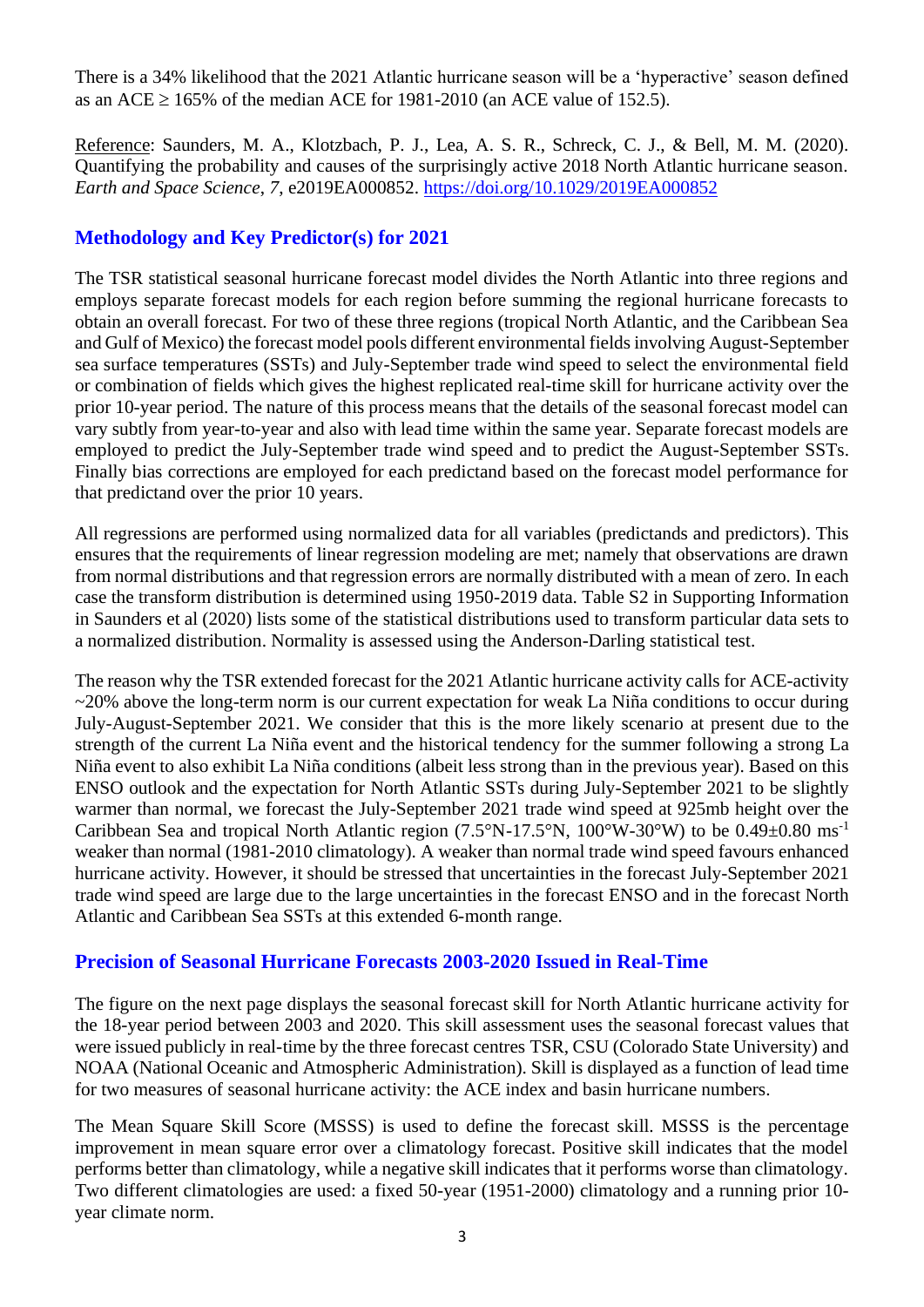There is a 34% likelihood that the 2021 Atlantic hurricane season will be a 'hyperactive' season defined as an ACE  $\geq$  165% of the median ACE for 1981-2010 (an ACE value of 152.5).

Reference: Saunders, M. A., Klotzbach, P. J., Lea, A. S. R., Schreck, C. J., & Bell, M. M. (2020). Quantifying the probability and causes of the surprisingly active 2018 North Atlantic hurricane season. *Earth and Space Science*, *7*, e2019EA000852.<https://doi.org/10.1029/2019EA000852>

## **Methodology and Key Predictor(s) for 2021**

The TSR statistical seasonal hurricane forecast model divides the North Atlantic into three regions and employs separate forecast models for each region before summing the regional hurricane forecasts to obtain an overall forecast. For two of these three regions (tropical North Atlantic, and the Caribbean Sea and Gulf of Mexico) the forecast model pools different environmental fields involving August-September sea surface temperatures (SSTs) and July-September trade wind speed to select the environmental field or combination of fields which gives the highest replicated real-time skill for hurricane activity over the prior 10-year period. The nature of this process means that the details of the seasonal forecast model can vary subtly from year-to-year and also with lead time within the same year. Separate forecast models are employed to predict the July-September trade wind speed and to predict the August-September SSTs. Finally bias corrections are employed for each predictand based on the forecast model performance for that predictand over the prior 10 years.

All regressions are performed using normalized data for all variables (predictands and predictors). This ensures that the requirements of linear regression modeling are met; namely that observations are drawn from normal distributions and that regression errors are normally distributed with a mean of zero. In each case the transform distribution is determined using 1950-2019 data. Table S2 in Supporting Information in Saunders et al (2020) lists some of the statistical distributions used to transform particular data sets to a normalized distribution. Normality is assessed using the Anderson-Darling statistical test.

The reason why the TSR extended forecast for the 2021 Atlantic hurricane activity calls for ACE-activity ~20% above the long-term norm is our current expectation for weak La Niña conditions to occur during July-August-September 2021. We consider that this is the more likely scenario at present due to the strength of the current La Niña event and the historical tendency for the summer following a strong La Niña event to also exhibit La Niña conditions (albeit less strong than in the previous year). Based on this ENSO outlook and the expectation for North Atlantic SSTs during July-September 2021 to be slightly warmer than normal, we forecast the July-September 2021 trade wind speed at 925mb height over the Caribbean Sea and tropical North Atlantic region (7.5°N-17.5°N, 100°W-30°W) to be 0.49±0.80 ms<sup>-1</sup> weaker than normal (1981-2010 climatology). A weaker than normal trade wind speed favours enhanced hurricane activity. However, it should be stressed that uncertainties in the forecast July-September 2021 trade wind speed are large due to the large uncertainties in the forecast ENSO and in the forecast North Atlantic and Caribbean Sea SSTs at this extended 6-month range.

#### **Precision of Seasonal Hurricane Forecasts 2003-2020 Issued in Real-Time**

The figure on the next page displays the seasonal forecast skill for North Atlantic hurricane activity for the 18-year period between 2003 and 2020. This skill assessment uses the seasonal forecast values that were issued publicly in real-time by the three forecast centres TSR, CSU (Colorado State University) and NOAA (National Oceanic and Atmospheric Administration). Skill is displayed as a function of lead time for two measures of seasonal hurricane activity: the ACE index and basin hurricane numbers.

The Mean Square Skill Score (MSSS) is used to define the forecast skill. MSSS is the percentage improvement in mean square error over a climatology forecast. Positive skill indicates that the model performs better than climatology, while a negative skill indicates that it performs worse than climatology. Two different climatologies are used: a fixed 50-year (1951-2000) climatology and a running prior 10 year climate norm.